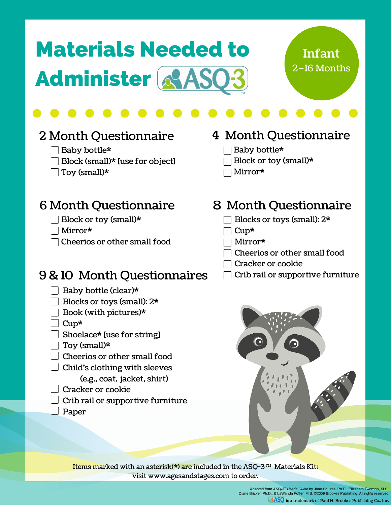# Materials Needed to **Administer & AS** Month10Questionnaires 2–16 Months

## Infant

#### 2 Month Questionnaire

- $\Box$  Baby bottle\*
- $\Box$  Block (small)\* [use for object]
- $\Box$  Toy (small)\*

#### 4 Month Questionnaire

- Baby bottle\*
- Block or toy (small)\*
- Mirror\*

#### 6 Month Questionnaire 6 Month Questionnaire

- Block or toy (small)\*
- Mirror\*
- $\Box$  Cheerios or other small food

#### $9 & 10$  Month Questionnaires  $\Box$  Crib rail or supportive furniture

- $\Box$  Baby bottle (clear)\*
- Blocks or toys (small): 2\*
- Book (with pictures)\*
- $\Box$  Cup\*
- Shoelace\* [use for string]
- $\overline{\phantom{x}}$  Tov (small)\*
- Cheerios or other small food
- $\Box$  Child's clothing with sleeves
	- (e.g., coat, jacket, shirt)
- Cracker or cookie
- $\Box$  Crib rail or supportive furniture
- Paper

|  |  | 8 Month Questionnaire |  |
|--|--|-----------------------|--|
|--|--|-----------------------|--|

- Blocks or toys (small): 2\*
- Cup\*
- Mirror\*
- Cheerios or other small food
- Cracker or cookie
- 



Items marked with an asterisk(\*) are included in the ASQ-3  $^{\text{m}}$  Materials Kit; visit www.agesandstages.com to order.

> Adapted from ASQ-3<sup>m</sup> User's Guide by Jane Squires, Ph.D., Elizabeth Twombly, M.S.<br>Diane Bricker, Ph.D., & LaWanda Potter, M.S. ©2009 Brookes Publishing. All rights reserved  $\boxed{\circ}$  ASQ is a trademark of Paul H. Brookes Publishing Co., Inc.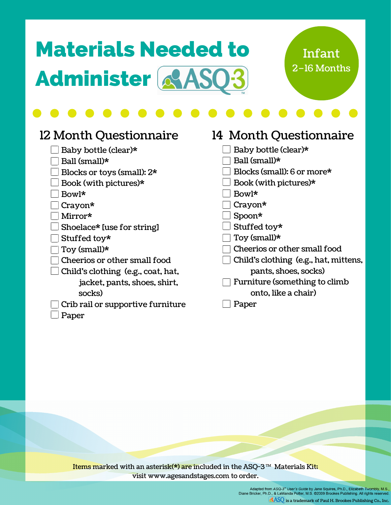## Materials Needed to **Administer & AS**

#### 2–16 Months Infant

#### 12 Month Questionnaire

- $\Box$  Baby bottle (clear)\*
- $\Box$  Ball (small)\*
- Blocks or toys (small): 2\*
- $\Box$  Book (with pictures)\*
- Bowl\*
- Crayon\*
- Mirror\*
- $\Box$  Shoelace\* [use for string]
- $\Box$  Stuffed toy\*
- $\Box$  Toy (small)\*
- $\Box$  Cheerios or other small food
- $\Box$  Child's clothing (e.g., coat, hat,
	- jacket, pants, shoes, shirt, socks)
	- Crib rail or supportive furniture
- $\Box$  Paper

#### 14 Month Questionnaire  $\Box$  Baby bottle (clear)\*  $\Box$  Ball (small)\*  $\Box$  Blocks (small): 6 or more\*  $\Box$  Book (with pictures)\* Bowl\*  $\Box$  Cravon\* Spoon\*  $\Box$  Stuffed toy\*  $\overline{\phantom{x}}$  Toy (small)\* Cheerios or other small food  $\Box$  Child's clothing (e.g., hat, mittens, pants, shoes, socks) Furniture (something to climb onto, like a chair) **Paper**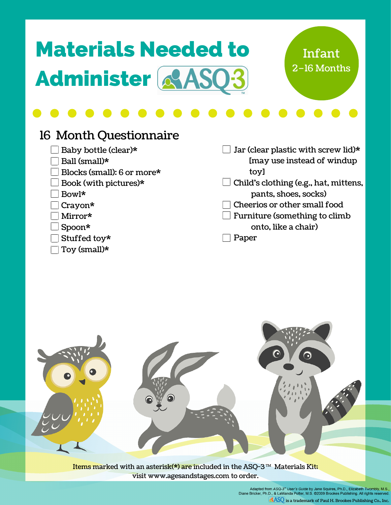## Materials Needed to **Administer & AS**

#### 2–16 Months Infant

#### 16 Month Questionnaire

- Baby bottle (clear)\*
- $\Box$  Ball (small)\*
- $\Box$  Blocks (small): 6 or more\*
- $\Box$  Book (with pictures)\*
- Bowl\*
- Crayon\*
- Mirror\*
- Spoon\*
- $\Box$  Stuffed toy\*
- $\Box$  Toy (small)\*

 $\Box$  Jar (clear plastic with screw lid)\* [may use instead of windup toy]

- $\Box$  Child's clothing (e.g., hat, mittens, pants, shoes, socks)
- Cheerios or other small food
- $\Box$  Furniture (something to climb onto, like a chair)

Paper

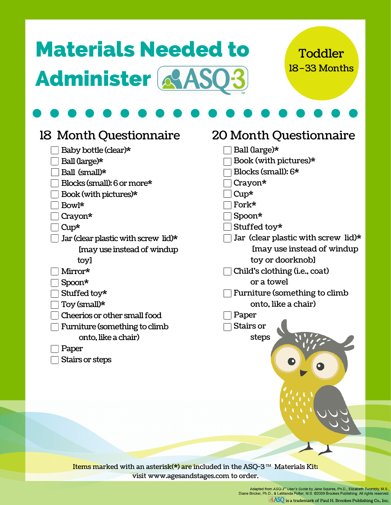## Materials Needed to **Administer & ASC**

#### 18–33 Months **Toddler**

| 18 Month Questionnaire                                                                          | 20 Month Questionnaire              |
|-------------------------------------------------------------------------------------------------|-------------------------------------|
| Baby bottle (clear)*                                                                            | Ball (large)*                       |
| Ball (large)*                                                                                   | Book (with pictures)*               |
| Ball (small)*                                                                                   | Blocks (small): 6*                  |
| Blocks (small): 6 or more*                                                                      | Crayon*                             |
| Book (with pictures)*                                                                           | $Cup*$                              |
| Bowl*                                                                                           | Fork*                               |
| Crayon*                                                                                         | Spoon*                              |
| $Cup*$                                                                                          | Stuffed toy*                        |
| Jar (clear plastic with screw lid)*                                                             | Jar (clear plastic with screw lid)* |
| Imay use instead of windup                                                                      | Imay use instead of windup          |
| toy]                                                                                            | toy or doorknobl                    |
| Mirror*                                                                                         | Child's clothing (i.e., coat)       |
| Spoon*                                                                                          | or a towel                          |
| Stuffed toy*                                                                                    | Furniture (something to climb       |
| Toy (small)*                                                                                    | onto, like a chair)                 |
| Cheerios or other small food                                                                    | Paper                               |
| Furniture (something to climb                                                                   | Stairs or                           |
| onto, like a chair)                                                                             | steps                               |
| Paper                                                                                           |                                     |
| Stairs or steps                                                                                 |                                     |
|                                                                                                 |                                     |
|                                                                                                 |                                     |
|                                                                                                 |                                     |
|                                                                                                 |                                     |
|                                                                                                 |                                     |
|                                                                                                 |                                     |
|                                                                                                 |                                     |
|                                                                                                 |                                     |
|                                                                                                 |                                     |
| Items marked with an asterisk(*) are included in the $\Delta$ SO-3 <sup>TM</sup> Materials Kitt |                                     |

Items marked with an asterisk(\*) are included in the ASQ-3  $^{\text{m}}$  Materials Kit; visit www.agesandstages.com to order.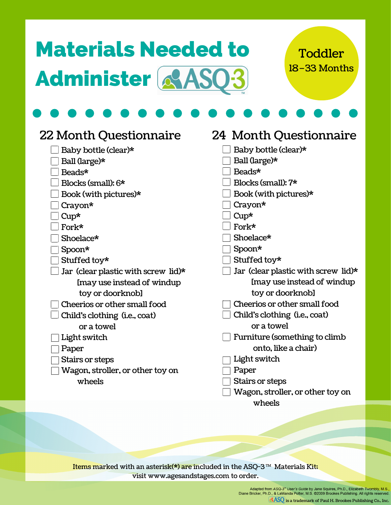## Materials Needed to Administer & ASQ3

#### 18–33 Months **Toddler**

| 22 Month Questionnaire              | 24 Month Questionnaire                 |  |
|-------------------------------------|----------------------------------------|--|
| Baby bottle (clear)*                | Baby bottle (clear)*                   |  |
| Ball (large)*                       | Ball (large)*                          |  |
| Beads*                              | Beads*                                 |  |
| Blocks (small): $6*$                | Blocks (small): 7*                     |  |
| Book (with pictures)*               | Book (with pictures)*                  |  |
| Crayon*                             | Crayon*                                |  |
| $Cup*$                              | $Cup*$                                 |  |
| Fork*                               | Fork*                                  |  |
| Shoelace*                           | Shoelace*                              |  |
| Spoon*                              | Spoon*                                 |  |
| Stuffed toy*                        | Stuffed toy*                           |  |
| Jar (clear plastic with screw lid)* | Jar (clear plastic with screw lid)*    |  |
| Imay use instead of windup          | Imay use instead of windup             |  |
| toy or doorknobl                    | toy or doorknobl                       |  |
| Cheerios or other small food        | Cheerios or other small food           |  |
| Child's clothing (i.e., coat)       | Child's clothing ( <i>i.e.</i> , coat) |  |
| or a towel                          | or a towel                             |  |
| Light switch                        | Furniture (something to climb          |  |
| Paper                               | onto, like a chair)                    |  |
| Stairs or steps                     | Light switch                           |  |
| Wagon, stroller, or other toy on    | Paper                                  |  |
| wheels                              | Stairs or steps                        |  |
|                                     | Wagon, stroller, or other toy on       |  |
|                                     | wheels                                 |  |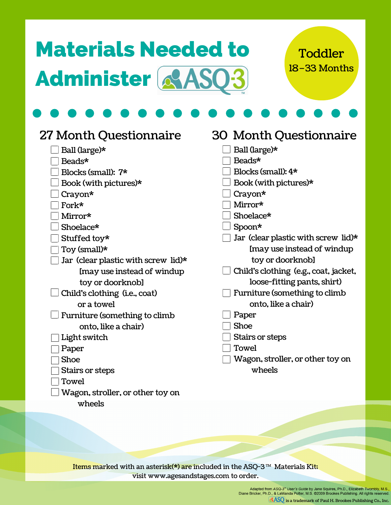## Materials Needed to Administer & ASQ3

#### 18–33 Months **Toddler**

| <b>27 Month Questionnaire</b>                                                                                      | 30 Month Questionnaire                |
|--------------------------------------------------------------------------------------------------------------------|---------------------------------------|
| Ball (large)*                                                                                                      | Ball (large)*                         |
| Beads*                                                                                                             | Beads*                                |
| Blocks (small): 7*                                                                                                 | Blocks (small): 4*                    |
| Book (with pictures)*                                                                                              | Book (with pictures)*                 |
| $Crayon*$                                                                                                          | $Crayon*$                             |
| Fork*                                                                                                              | Mirror*                               |
| Mirror*                                                                                                            | Shoelace*                             |
| Shoelace*                                                                                                          | Spoon*                                |
| Stuffed toy*                                                                                                       | Jar (clear plastic with screw lid)*   |
| Toy (small)*                                                                                                       | I may use instead of windup           |
| Jar (clear plastic with screw lid)*                                                                                | toy or doorknobl                      |
| I may use instead of windup                                                                                        | Child's clothing (e.g., coat, jacket, |
| toy or doorknobl                                                                                                   | loose-fitting pants, shirt)           |
| Child's clothing (i.e., coat)                                                                                      | Furniture (something to climb         |
| or a towel                                                                                                         | onto. like a chair)                   |
| Furniture (something to climb                                                                                      | Paper                                 |
| onto, like a chair)                                                                                                | Shoe                                  |
| Light switch                                                                                                       | Stairs or steps                       |
| Paper                                                                                                              | Towel                                 |
| <b>Shoe</b>                                                                                                        | Wagon, stroller, or other toy on      |
| Stairs or steps                                                                                                    | wheels                                |
| Towel                                                                                                              |                                       |
| Wagon, stroller, or other toy on                                                                                   |                                       |
| wheels                                                                                                             |                                       |
|                                                                                                                    |                                       |
|                                                                                                                    |                                       |
|                                                                                                                    |                                       |
|                                                                                                                    |                                       |
| Items marked with an asterisk( $\hat{\mathbf{x}}$ ) are included in the $\Delta$ SO-3 <sup>TM</sup> Materials Kit. |                                       |

Items marked with an asterisk(\*) are included in the ASQ-3  $^{\text{m}}$  Materials Kit; visit www.agesandstages.com to order.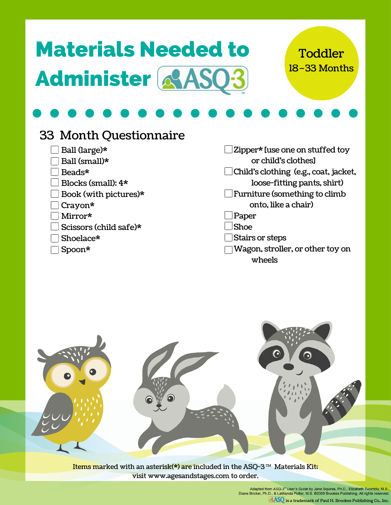| <b>Materials Needed to</b> |  |
|----------------------------|--|
| Administer & ASQ3          |  |

18–33 Months Toddler

#### 33 Month Questionnaire

- $\Box$  Ball (large)\*
- $\Box$  Ball (small)\*
- $\Box$  Beads\*
- $\Box$  Blocks (small):  $4\text{*}$
- $\Box$  Book (with pictures)\*
- Crayon\*
- $\overline{\phantom{x}}$  Mirror\*
- $\Box$  Scissors (child safe)\*
- Shoelace\*
- Spoon\*

Zipper\* [use one on stuffed toy or child's clothes] Child's clothing (e.g., coat, jacket, loose-fitting pants, shirt)  $\Box$  Furniture (something to climb onto, like a chair) Paper Shoe

- Stairs or steps
- Wagon, stroller, or other toy on wheels

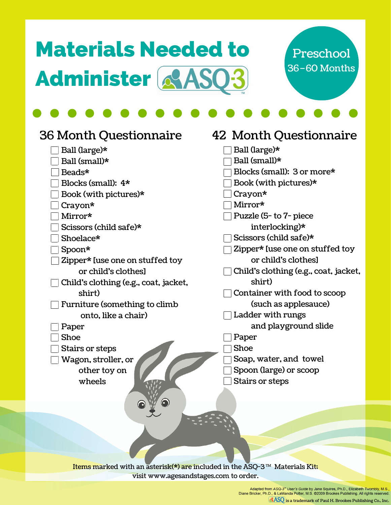## Materials Needed to Administer & ASO3



| <b>36 Month Questionnaire</b>                                                                             | 42 Month Questionnaire                |
|-----------------------------------------------------------------------------------------------------------|---------------------------------------|
| Ball (large)*                                                                                             | Ball (large)*                         |
| Ball (small)*                                                                                             | Ball (small)*                         |
| Beads*                                                                                                    | Blocks (small): 3 or more*            |
| Blocks (small): 4*                                                                                        | Book (with pictures)*                 |
| Book (with pictures)*                                                                                     | $Crayon*$                             |
| $Crayon*$                                                                                                 | Mirror*                               |
| Mirror*                                                                                                   | Puzzle (5- to 7- piece                |
| Scissors (child safe)*                                                                                    | interlocking)*                        |
| Shoelace*                                                                                                 | Scissors (child safe)*                |
| Spoon*                                                                                                    | Zipper* [use one on stuffed toy       |
| Zipper* [use one on stuffed toy                                                                           | or child's clothesl                   |
| or child's clothesl                                                                                       | Child's clothing (e.g., coat, jacket, |
| Child's clothing (e.g., coat, jacket,                                                                     | shirt)                                |
| shirt)                                                                                                    | Container with food to scoop          |
| Furniture (something to climb                                                                             | (such as applesauce)                  |
| onto, like a chair)                                                                                       | Ladder with rungs                     |
| Paper                                                                                                     | and playground slide                  |
| <b>Shoe</b>                                                                                               | Paper                                 |
| Stairs or steps                                                                                           | Shoe                                  |
| Wagon, stroller, or                                                                                       | Soap, water, and towel                |
| other toy on                                                                                              | Spoon (large) or scoop                |
| wheels                                                                                                    | Stairs or steps                       |
|                                                                                                           |                                       |
| $\odot$                                                                                                   |                                       |
|                                                                                                           |                                       |
|                                                                                                           |                                       |
|                                                                                                           |                                       |
|                                                                                                           |                                       |
| Trame marked with an actorick(*) are included in the $\Delta$ SO-3 $\text{\textdegree{m}}$ Materials Kit. |                                       |

Items marked with an asterisk(\*) are included in the ASQ-3  $^{\text{m}}$  Materials Kit; visit www.agesandstages.com to order.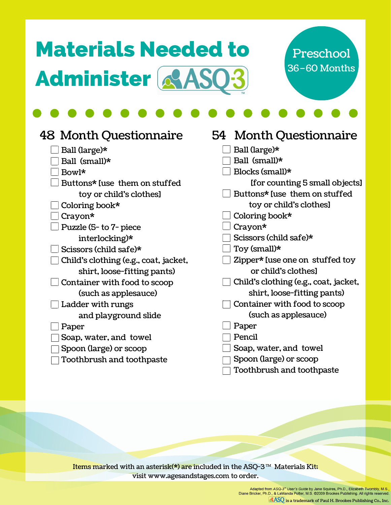## Materials Needed to Administer & ASO3



| 48 Month Questionnaire                | 54 Month Questionnaire                |
|---------------------------------------|---------------------------------------|
| Ball (large)*                         | Ball (large)*                         |
| Ball (small)*                         | Ball (small)*                         |
| Bowl*                                 | Blocks (small)*                       |
| Buttons* luse them on stuffed         | [for counting 5 small objects]        |
| toy or child's clothes]               | Buttons* luse them on stuffed         |
| Coloring book*                        | toy or child's clothes]               |
| Crayon*                               | Coloring book*                        |
| Puzzle (5- to 7- piece                | Crayon*                               |
| interlocking) $*$                     | Scissors (child safe)*                |
| Scissors (child safe)*                | Toy (small)*                          |
| Child's clothing (e.g., coat, jacket, | Zipper* [use one on stuffed toy       |
| shirt, loose-fitting pants)           | or child's clothesl                   |
| Container with food to scoop          | Child's clothing (e.g., coat, jacket, |
| (such as applesauce)                  | shirt, loose-fitting pants)           |
| Ladder with rungs                     | Container with food to scoop          |
| and playground slide                  | (such as applesauce)                  |
| Paper                                 | Paper                                 |
| Soap, water, and towel                | Pencil                                |
| Spoon (large) or scoop                | Soap, water, and towel                |
| Toothbrush and toothpaste             | Spoon (large) or scoop                |
|                                       | Toothbrush and toothpaste             |